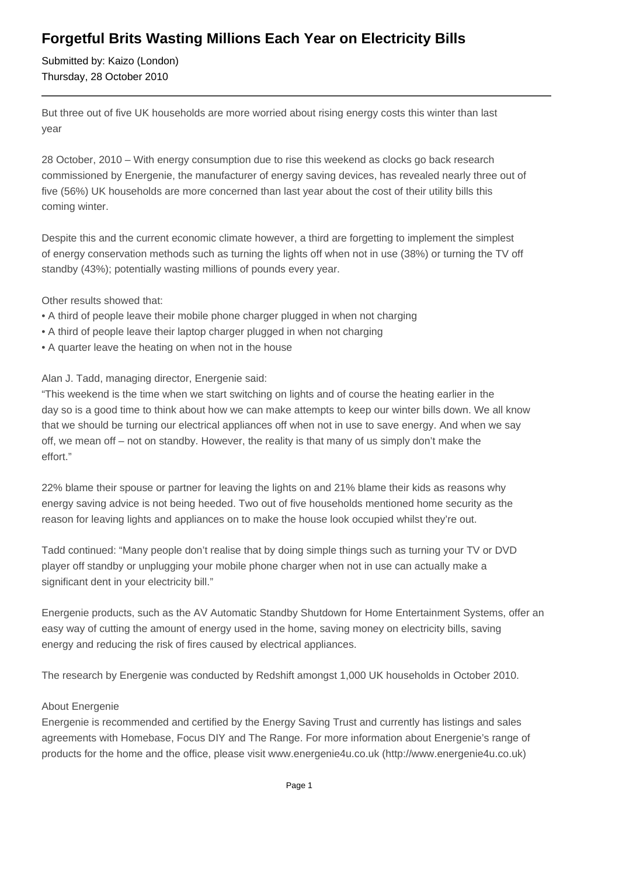## **Forgetful Brits Wasting Millions Each Year on Electricity Bills**

Submitted by: Kaizo (London) Thursday, 28 October 2010

But three out of five UK households are more worried about rising energy costs this winter than last year

28 October, 2010 – With energy consumption due to rise this weekend as clocks go back research commissioned by Energenie, the manufacturer of energy saving devices, has revealed nearly three out of five (56%) UK households are more concerned than last year about the cost of their utility bills this coming winter.

Despite this and the current economic climate however, a third are forgetting to implement the simplest of energy conservation methods such as turning the lights off when not in use (38%) or turning the TV off standby (43%); potentially wasting millions of pounds every year.

Other results showed that:

- A third of people leave their mobile phone charger plugged in when not charging
- A third of people leave their laptop charger plugged in when not charging
- A quarter leave the heating on when not in the house

Alan J. Tadd, managing director, Energenie said:

"This weekend is the time when we start switching on lights and of course the heating earlier in the day so is a good time to think about how we can make attempts to keep our winter bills down. We all know that we should be turning our electrical appliances off when not in use to save energy. And when we say off, we mean off – not on standby. However, the reality is that many of us simply don't make the effort."

22% blame their spouse or partner for leaving the lights on and 21% blame their kids as reasons why energy saving advice is not being heeded. Two out of five households mentioned home security as the reason for leaving lights and appliances on to make the house look occupied whilst they're out.

Tadd continued: "Many people don't realise that by doing simple things such as turning your TV or DVD player off standby or unplugging your mobile phone charger when not in use can actually make a significant dent in your electricity bill."

Energenie products, such as the AV Automatic Standby Shutdown for Home Entertainment Systems, offer an easy way of cutting the amount of energy used in the home, saving money on electricity bills, saving energy and reducing the risk of fires caused by electrical appliances.

The research by Energenie was conducted by Redshift amongst 1,000 UK households in October 2010.

## About Energenie

Energenie is recommended and certified by the Energy Saving Trust and currently has listings and sales agreements with Homebase, Focus DIY and The Range. For more information about Energenie's range of products for the home and the office, please visit www.energenie4u.co.uk (http://www.energenie4u.co.uk)